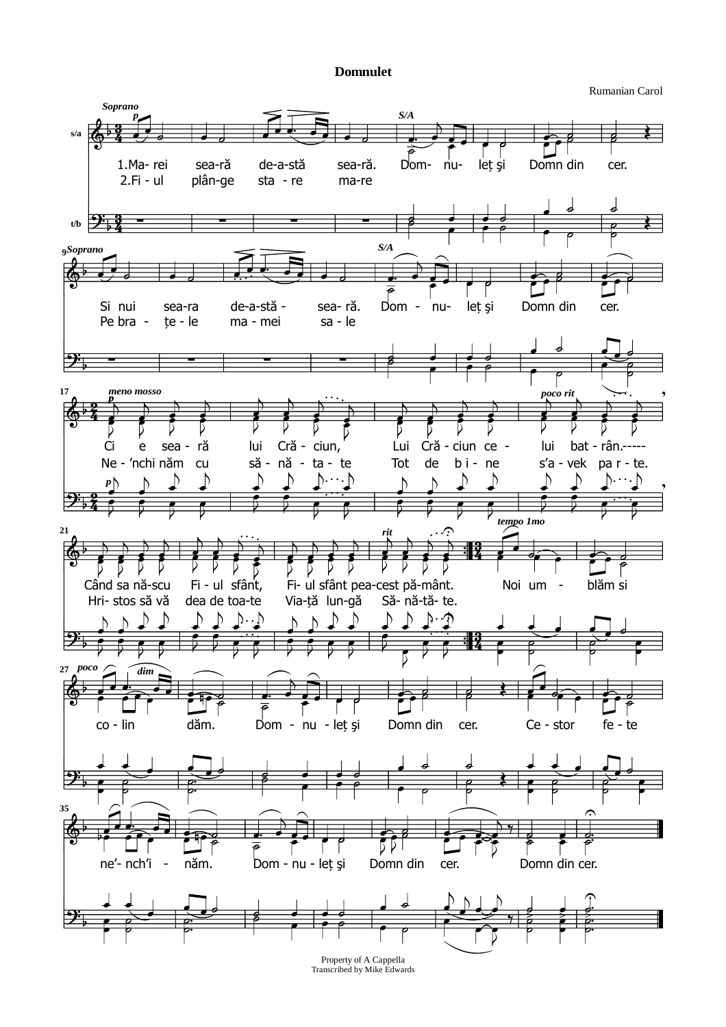## **Domnulet**

Rumanian Carol



Transcribed by Mike Edwards Property of A Cappella